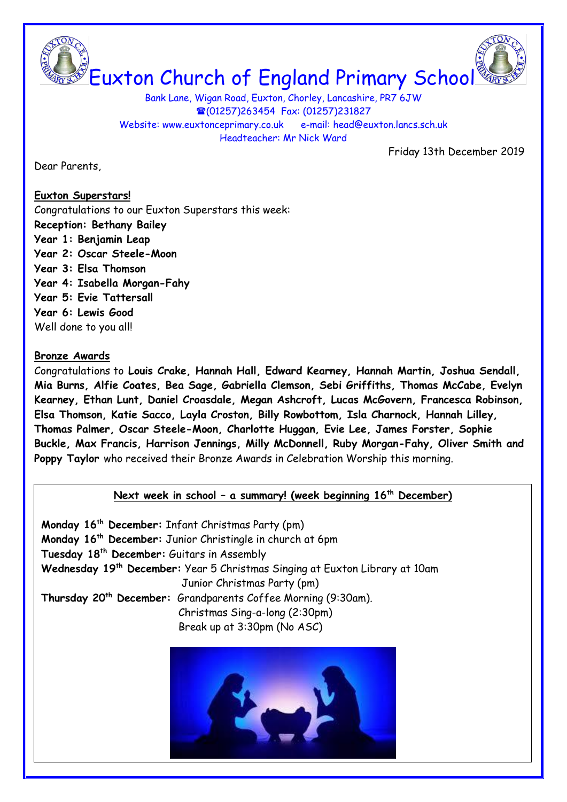Euxton Church of England Primary School

Bank Lane, Wigan Road, Euxton, Chorley, Lancashire, PR7 6JW (01257)263454 Fax: (01257)231827 Website: www.euxtonceprimary.co.uk e-mail: [head@euxton.lancs.sch.uk](mailto:head@euxton.lancs.sch.uk) Headteacher: Mr Nick Ward

Friday 13th December 2019

Dear Parents,

# **Euxton Superstars!** Congratulations to our Euxton Superstars this week: **Reception: Bethany Bailey Year 1: Benjamin Leap Year 2: Oscar Steele-Moon Year 3: Elsa Thomson**

- **Year 4: Isabella Morgan-Fahy**
- **Year 5: Evie Tattersall**
- **Year 6: Lewis Good**

Well done to you all!

#### **Bronze Awards**

Congratulations to **Louis Crake, Hannah Hall, Edward Kearney, Hannah Martin, Joshua Sendall, Mia Burns, Alfie Coates, Bea Sage, Gabriella Clemson, Sebi Griffiths, Thomas McCabe, Evelyn Kearney, Ethan Lunt, Daniel Croasdale, Megan Ashcroft, Lucas McGovern, Francesca Robinson, Elsa Thomson, Katie Sacco, Layla Croston, Billy Rowbottom, Isla Charnock, Hannah Lilley, Thomas Palmer, Oscar Steele-Moon, Charlotte Huggan, Evie Lee, James Forster, Sophie Buckle, Max Francis, Harrison Jennings, Milly McDonnell, Ruby Morgan-Fahy, Oliver Smith and Poppy Taylor** who received their Bronze Awards in Celebration Worship this morning.

# **Next week in school – a summary! (week beginning 16th December)**

**Monday 16th December:** Infant Christmas Party (pm) **Monday 16th December:** Junior Christingle in church at 6pm **Tuesday 18th December:** Guitars in Assembly **Wednesday 19th December:** Year 5 Christmas Singing at Euxton Library at 10am Junior Christmas Party (pm) **Thursday 20th December:** Grandparents Coffee Morning (9:30am). Christmas Sing-a-long (2:30pm) Break up at 3:30pm (No ASC)

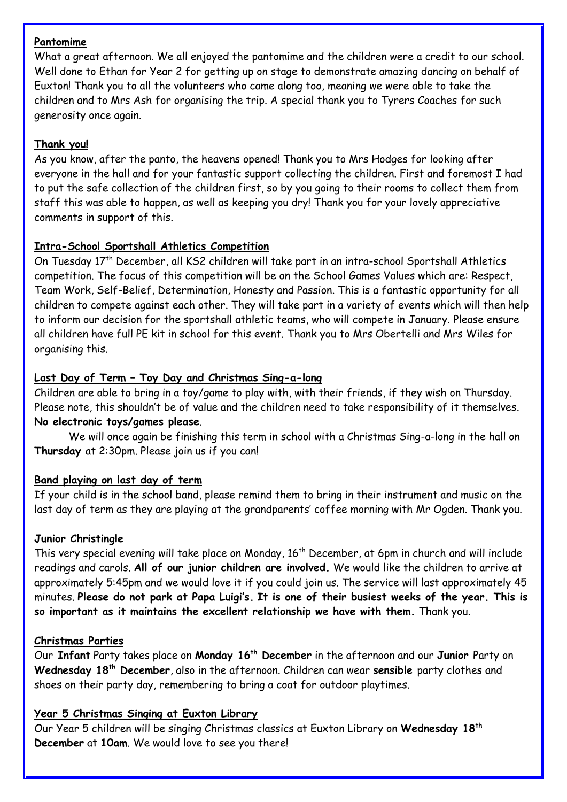#### **Pantomime**

What a great afternoon. We all enjoyed the pantomime and the children were a credit to our school. Well done to Ethan for Year 2 for getting up on stage to demonstrate amazing dancing on behalf of Euxton! Thank you to all the volunteers who came along too, meaning we were able to take the children and to Mrs Ash for organising the trip. A special thank you to Tyrers Coaches for such generosity once again.

# **Thank you!**

As you know, after the panto, the heavens opened! Thank you to Mrs Hodges for looking after everyone in the hall and for your fantastic support collecting the children. First and foremost I had to put the safe collection of the children first, so by you going to their rooms to collect them from staff this was able to happen, as well as keeping you dry! Thank you for your lovely appreciative comments in support of this.

# **Intra-School Sportshall Athletics Competition**

On Tuesday 17<sup>th</sup> December, all KS2 children will take part in an intra-school Sportshall Athletics competition. The focus of this competition will be on the School Games Values which are: Respect, Team Work, Self-Belief, Determination, Honesty and Passion. This is a fantastic opportunity for all children to compete against each other. They will take part in a variety of events which will then help to inform our decision for the sportshall athletic teams, who will compete in January. Please ensure all children have full PE kit in school for this event. Thank you to Mrs Obertelli and Mrs Wiles for organising this.

# **Last Day of Term – Toy Day and Christmas Sing-a-long**

Children are able to bring in a toy/game to play with, with their friends, if they wish on Thursday. Please note, this shouldn't be of value and the children need to take responsibility of it themselves. **No electronic toys/games please**.

We will once again be finishing this term in school with a Christmas Sing-a-long in the hall on **Thursday** at 2:30pm. Please join us if you can!

# **Band playing on last day of term**

If your child is in the school band, please remind them to bring in their instrument and music on the last day of term as they are playing at the grandparents' coffee morning with Mr Ogden. Thank you.

# **Junior Christingle**

This very special evening will take place on Monday, 16<sup>th</sup> December, at 6pm in church and will include readings and carols. **All of our junior children are involved.** We would like the children to arrive at approximately 5:45pm and we would love it if you could join us. The service will last approximately 45 minutes. **Please do not park at Papa Luigi's. It is one of their busiest weeks of the year. This is so important as it maintains the excellent relationship we have with them.** Thank you.

# **Christmas Parties**

Our **Infant** Party takes place on **Monday 16th December** in the afternoon and our **Junior** Party on **Wednesday 18th December**, also in the afternoon. Children can wear **sensible** party clothes and shoes on their party day, remembering to bring a coat for outdoor playtimes.

# **Year 5 Christmas Singing at Euxton Library**

Our Year 5 children will be singing Christmas classics at Euxton Library on **Wednesday 18th December** at **10am**. We would love to see you there!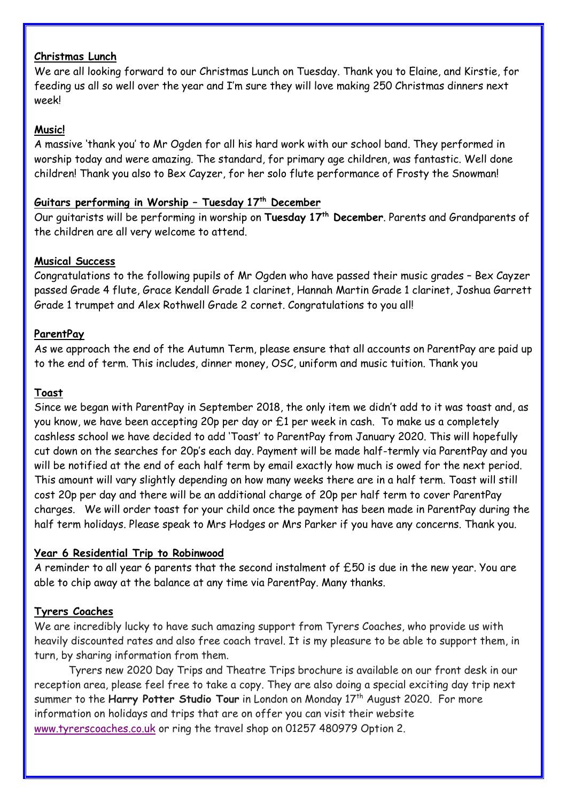## **Christmas Lunch**

We are all looking forward to our Christmas Lunch on Tuesday. Thank you to Elaine, and Kirstie, for feeding us all so well over the year and I'm sure they will love making 250 Christmas dinners next week!

## **Music!**

A massive 'thank you' to Mr Ogden for all his hard work with our school band. They performed in worship today and were amazing. The standard, for primary age children, was fantastic. Well done children! Thank you also to Bex Cayzer, for her solo flute performance of Frosty the Snowman!

## **Guitars performing in Worship – Tuesday 17th December**

Our guitarists will be performing in worship on **Tuesday 17th December**. Parents and Grandparents of the children are all very welcome to attend.

#### **Musical Success**

Congratulations to the following pupils of Mr Ogden who have passed their music grades – Bex Cayzer passed Grade 4 flute, Grace Kendall Grade 1 clarinet, Hannah Martin Grade 1 clarinet, Joshua Garrett Grade 1 trumpet and Alex Rothwell Grade 2 cornet. Congratulations to you all!

## **ParentPay**

As we approach the end of the Autumn Term, please ensure that all accounts on ParentPay are paid up to the end of term. This includes, dinner money, OSC, uniform and music tuition. Thank you

#### **Toast**

Since we began with ParentPay in September 2018, the only item we didn't add to it was toast and, as you know, we have been accepting 20p per day or £1 per week in cash. To make us a completely cashless school we have decided to add 'Toast' to ParentPay from January 2020. This will hopefully cut down on the searches for 20p's each day. Payment will be made half-termly via ParentPay and you will be notified at the end of each half term by email exactly how much is owed for the next period. This amount will vary slightly depending on how many weeks there are in a half term. Toast will still cost 20p per day and there will be an additional charge of 20p per half term to cover ParentPay charges. We will order toast for your child once the payment has been made in ParentPay during the half term holidays. Please speak to Mrs Hodges or Mrs Parker if you have any concerns. Thank you.

#### **Year 6 Residential Trip to Robinwood**

A reminder to all year 6 parents that the second instalment of £50 is due in the new year. You are able to chip away at the balance at any time via ParentPay. Many thanks.

#### **Tyrers Coaches**

We are incredibly lucky to have such amazing support from Tyrers Coaches, who provide us with heavily discounted rates and also free coach travel. It is my pleasure to be able to support them, in turn, by sharing information from them.

Tyrers new 2020 Day Trips and Theatre Trips brochure is available on our front desk in our reception area, please feel free to take a copy. They are also doing a special exciting day trip next summer to the **Harry Potter Studio Tour** in London on Monday 17<sup>th</sup> August 2020. For more information on holidays and trips that are on offer you can visit their website [www.tyrerscoaches.co.uk](http://www.tyrerscoaches.co.uk/) or ring the travel shop on 01257 480979 Option 2.